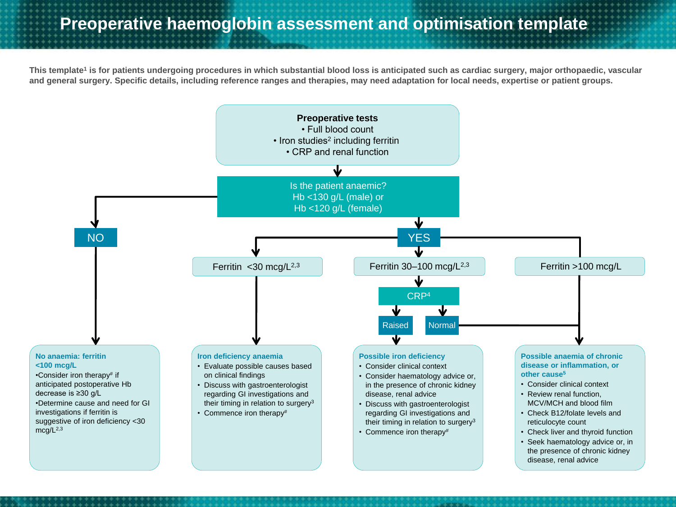**This template<sup>1</sup> is for patients undergoing procedures in which substantial blood loss is anticipated such as cardiac surgery, major orthopaedic, vascular and general surgery. Specific details, including reference ranges and therapies, may need adaptation for local needs, expertise or patient groups.**